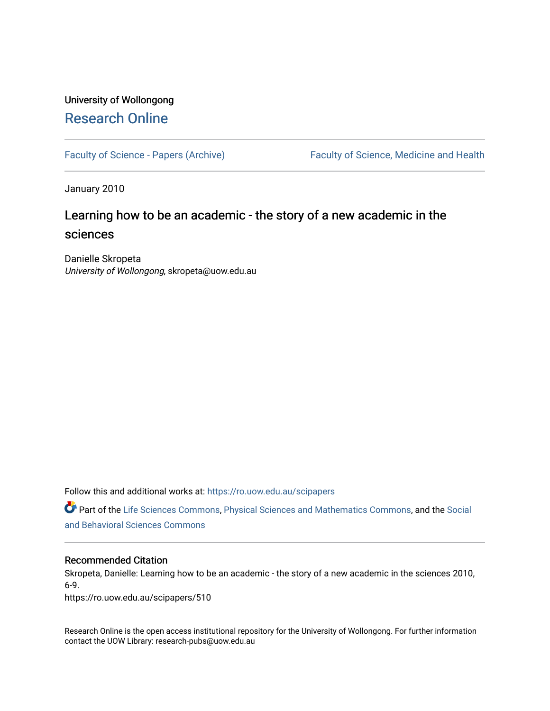## University of Wollongong [Research Online](https://ro.uow.edu.au/)

[Faculty of Science - Papers \(Archive\)](https://ro.uow.edu.au/scipapers) Faculty of Science, Medicine and Health

January 2010

## Learning how to be an academic - the story of a new academic in the sciences

Danielle Skropeta University of Wollongong, skropeta@uow.edu.au

Follow this and additional works at: [https://ro.uow.edu.au/scipapers](https://ro.uow.edu.au/scipapers?utm_source=ro.uow.edu.au%2Fscipapers%2F510&utm_medium=PDF&utm_campaign=PDFCoverPages)

Part of the [Life Sciences Commons,](http://network.bepress.com/hgg/discipline/1016?utm_source=ro.uow.edu.au%2Fscipapers%2F510&utm_medium=PDF&utm_campaign=PDFCoverPages) [Physical Sciences and Mathematics Commons,](http://network.bepress.com/hgg/discipline/114?utm_source=ro.uow.edu.au%2Fscipapers%2F510&utm_medium=PDF&utm_campaign=PDFCoverPages) and the Social [and Behavioral Sciences Commons](http://network.bepress.com/hgg/discipline/316?utm_source=ro.uow.edu.au%2Fscipapers%2F510&utm_medium=PDF&utm_campaign=PDFCoverPages) 

#### Recommended Citation

Skropeta, Danielle: Learning how to be an academic - the story of a new academic in the sciences 2010, 6-9.

https://ro.uow.edu.au/scipapers/510

Research Online is the open access institutional repository for the University of Wollongong. For further information contact the UOW Library: research-pubs@uow.edu.au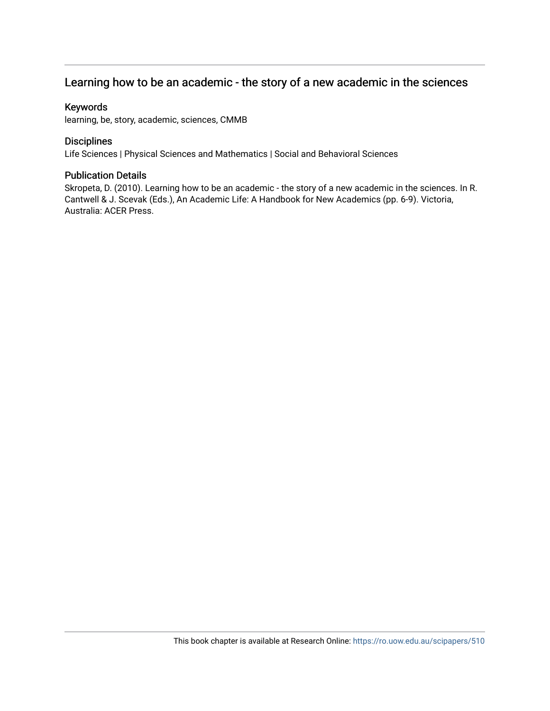## Learning how to be an academic - the story of a new academic in the sciences

#### Keywords

learning, be, story, academic, sciences, CMMB

#### **Disciplines**

Life Sciences | Physical Sciences and Mathematics | Social and Behavioral Sciences

#### Publication Details

Skropeta, D. (2010). Learning how to be an academic - the story of a new academic in the sciences. In R. Cantwell & J. Scevak (Eds.), An Academic Life: A Handbook for New Academics (pp. 6-9). Victoria, Australia: ACER Press.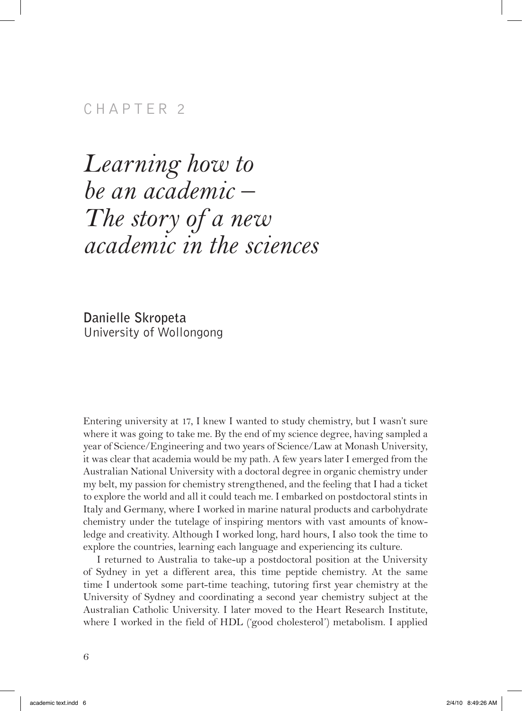### Chapter 2

# *Learning how to be an academic – The story of a new academic in the sciences*

**Danielle Skropeta** University of Wollongong

Entering university at 17, I knew I wanted to study chemistry, but I wasn't sure where it was going to take me. By the end of my science degree, having sampled a year of Science/Engineering and two years of Science/Law at Monash University, it was clear that academia would be my path. A few years later I emerged from the Australian National University with a doctoral degree in organic chemistry under my belt, my passion for chemistry strengthened, and the feeling that I had a ticket to explore the world and all it could teach me. I embarked on postdoctoral stints in Italy and Germany, where I worked in marine natural products and carbohydrate chemistry under the tutelage of inspiring mentors with vast amounts of knowledge and creativity. Although I worked long, hard hours, I also took the time to explore the countries, learning each language and experiencing its culture.

I returned to Australia to take-up a postdoctoral position at the University of Sydney in yet a different area, this time peptide chemistry. At the same time I undertook some part-time teaching, tutoring first year chemistry at the University of Sydney and coordinating a second year chemistry subject at the Australian Catholic University. I later moved to the Heart Research Institute, where I worked in the field of HDL ('good cholesterol') metabolism. I applied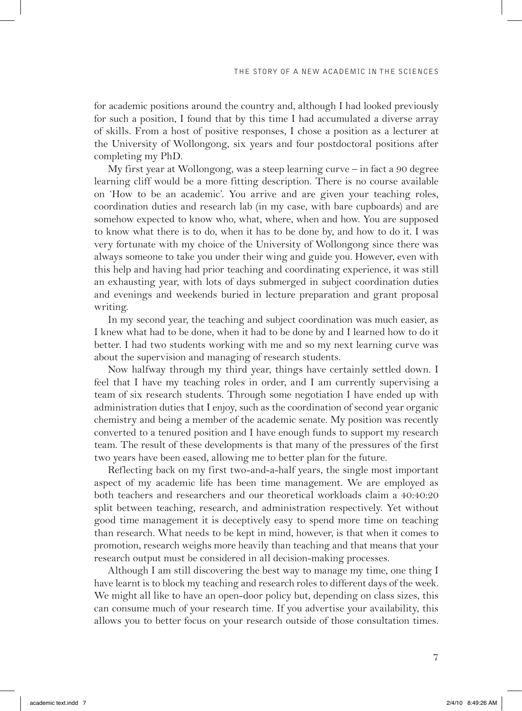for academic positions around the country and, although I had looked previously for such a position, I found that by this time I had accumulated a diverse array of skills. From a host of positive responses, I chose a position as a lecturer at the University of Wollongong, six years and four postdoctoral positions after completing my PhD.

My first year at Wollongong, was a steep learning curve – in fact a 90 degree learning cliff would be a more fitting description. There is no course available on 'How to be an academic'. You arrive and are given your teaching roles, coordination duties and research lab (in my case, with bare cupboards) and are somehow expected to know who, what, where, when and how. You are supposed to know what there is to do, when it has to be done by, and how to do it. I was very fortunate with my choice of the University of Wollongong since there was always someone to take you under their wing and guide you. However, even with this help and having had prior teaching and coordinating experience, it was still an exhausting year, with lots of days submerged in subject coordination duties and evenings and weekends buried in lecture preparation and grant proposal writing.

In my second year, the teaching and subject coordination was much easier, as I knew what had to be done, when it had to be done by and I learned how to do it better. I had two students working with me and so my next learning curve was about the supervision and managing of research students.

Now halfway through my third year, things have certainly settled down. I feel that I have my teaching roles in order, and I am currently supervising a team of six research students. Through some negotiation I have ended up with administration duties that I enjoy, such as the coordination of second year organic chemistry and being a member of the academic senate. My position was recently converted to a tenured position and I have enough funds to support my research team. The result of these developments is that many of the pressures of the first two years have been eased, allowing me to better plan for the future.

Reflecting back on my first two-and-a-half years, the single most important aspect of my academic life has been time management. We are employed as both teachers and researchers and our theoretical workloads claim a 40:40:20 split between teaching, research, and administration respectively. Yet without good time management it is deceptively easy to spend more time on teaching than research. What needs to be kept in mind, however, is that when it comes to promotion, research weighs more heavily than teaching and that means that your research output must be considered in all decision-making processes.

Although I am still discovering the best way to manage my time, one thing I have learnt is to block my teaching and research roles to different days of the week. We might all like to have an open-door policy but, depending on class sizes, this can consume much of your research time. If you advertise your availability, this allows you to better focus on your research outside of those consultation times.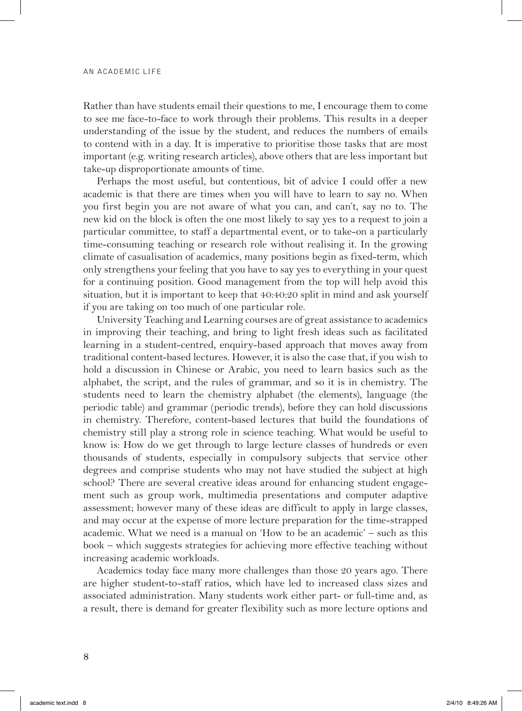#### an academic life

Rather than have students email their questions to me, I encourage them to come to see me face-to-face to work through their problems. This results in a deeper understanding of the issue by the student, and reduces the numbers of emails to contend with in a day. It is imperative to prioritise those tasks that are most important (e.g. writing research articles), above others that are less important but take-up disproportionate amounts of time.

Perhaps the most useful, but contentious, bit of advice I could offer a new academic is that there are times when you will have to learn to say no. When you first begin you are not aware of what you can, and can't, say no to. The new kid on the block is often the one most likely to say yes to a request to join a particular committee, to staff a departmental event, or to take-on a particularly time-consuming teaching or research role without realising it. In the growing climate of casualisation of academics, many positions begin as fixed-term, which only strengthens your feeling that you have to say yes to everything in your quest for a continuing position. Good management from the top will help avoid this situation, but it is important to keep that 40:40:20 split in mind and ask yourself if you are taking on too much of one particular role.

University Teaching and Learning courses are of great assistance to academics in improving their teaching, and bring to light fresh ideas such as facilitated learning in a student-centred, enquiry-based approach that moves away from traditional content-based lectures. However, it is also the case that, if you wish to hold a discussion in Chinese or Arabic, you need to learn basics such as the alphabet, the script, and the rules of grammar, and so it is in chemistry. The students need to learn the chemistry alphabet (the elements), language (the periodic table) and grammar (periodic trends), before they can hold discussions in chemistry. Therefore, content-based lectures that build the foundations of chemistry still play a strong role in science teaching. What would be useful to know is: How do we get through to large lecture classes of hundreds or even thousands of students, especially in compulsory subjects that service other degrees and comprise students who may not have studied the subject at high school? There are several creative ideas around for enhancing student engagement such as group work, multimedia presentations and computer adaptive assessment; however many of these ideas are difficult to apply in large classes, and may occur at the expense of more lecture preparation for the time-strapped academic. What we need is a manual on 'How to be an academic' – such as this book – which suggests strategies for achieving more effective teaching without increasing academic workloads.

Academics today face many more challenges than those 20 years ago. There are higher student-to-staff ratios, which have led to increased class sizes and associated administration. Many students work either part- or full-time and, as a result, there is demand for greater flexibility such as more lecture options and